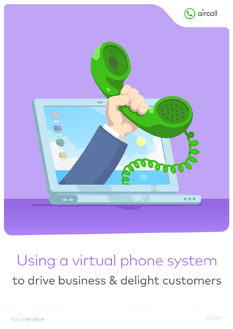

# Using a virtual phone system to drive business & delight customers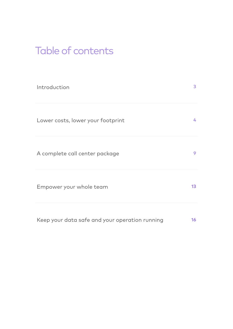# Table of contents

| Introduction                                   | 3               |
|------------------------------------------------|-----------------|
| Lower costs, lower your footprint              | 4               |
| A complete call center package                 | 9               |
| Empower your whole team                        | 13 <sup>°</sup> |
| Keep your data safe and your operation running | 16 <sub>1</sub> |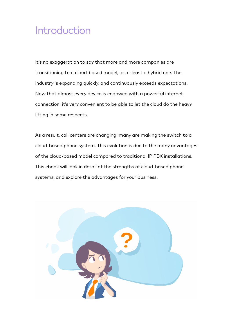# Introduction

It's no exaggeration to say that more and more companies are transitioning to a cloud-based model, or at least a hybrid one. The industry is expanding quickly, and continuously exceeds expectations. Now that almost every device is endowed with a powerful internet connection, it's very convenient to be able to let the cloud do the heavy lifting in some respects.

As a result, call centers are changing: many are making the switch to a cloud-based phone system. This evolution is due to the many advantages of the cloud-based model compared to traditional IP PBX installations. This ebook will look in detail at the strengths of cloud-based phone systems, and explore the advantages for your business.

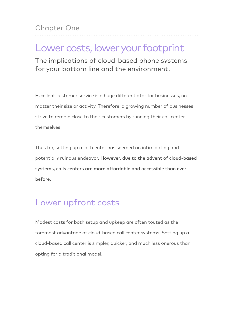Chapter One

# Lower costs, lower your footprint

The implications of cloud-based phone systems for your bottom line and the environment.

Excellent customer service is a huge differentiator for businesses, no matter their size or activity. Therefore, a growing number of businesses strive to remain close to their customers by running their call center themselves.

Thus far, setting up a call center has seemed an intimidating and potentially ruinous endeavor. However, due to the advent of cloud-based systems, calls centers are more affordable and accessible than ever before.

### Lower upfront costs

Modest costs for both setup and upkeep are often touted as the foremost advantage of cloud-based call center systems. Setting up a cloud-based call center is simpler, quicker, and much less onerous than opting for a traditional model.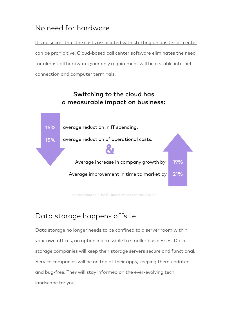#### No need for hardware

[It's no secret that the costs associated with starting an onsite call center](http://blog.3clogic.com/total-cost-of-ownership-tco-cloud-vs.-on-premise-call-center-solutions)  can be prohibitive. Cloud-based call center software eliminates the need for almost all hardware; your only requirement will be a stable internet connection and computer terminals.



source: Bourne "The Business Impact fo the Cloud"

#### Data storage happens offsite

Data storage no longer needs to be confined to a server room within your own offices, an option inaccessible to smaller businesses. Data storage companies will keep their storage servers secure and functional. Service companies will be on top of their apps, keeping them updated and bug-free. They will stay informed on the ever-evolving tech landscape for you.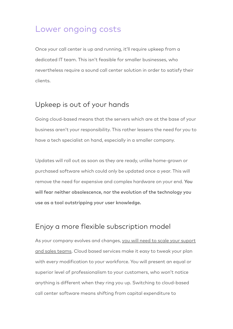### Lower ongoing costs

Once your call center is up and running, it'll require upkeep from a dedicated IT team. This isn't feasible for smaller businesses, who nevertheless require a sound call center solution in order to satisfy their clients.

#### Upkeep is out of your hands

Going cloud-based means that the servers which are at the base of your business aren't your responsibility. This rather lessens the need for you to have a tech specialist on hand, especially in a smaller company.

Updates will roll out as soon as they are ready, unlike home-grown or purchased software which could only be updated once a year. This will remove the need for expensive and complex hardware on your end. You will fear neither obsolescence, nor the evolution of the technology you use as a tool outstripping your user knowledge.

#### Enjoy a more flexible subscription model

[As your company evolves and changes, you will need to scale your suport](https://blog.aircall.io/scale-customer-support/)  and sales teams. Cloud based services make it easy to tweak your plan with every modification to your workforce. You will present an equal or superior level of professionalism to your customers, who won't notice anything is different when they ring you up. Switching to cloud-based call center software means shifting from capital expenditure to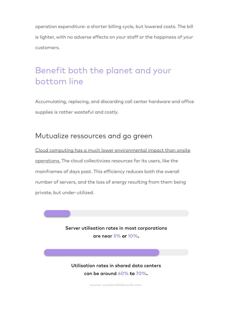operation expenditure: a shorter billing cycle, but lowered costs. The bill is lighter, with no adverse effects on your staff or the happiness of your customers.

## Benefit both the planet and your bottom line

Accumulating, replacing, and discarding call center hardware and office supplies is rather wasteful and costly.

#### Mutualize ressources and go green

[Cloud computing has a much lower environmental impact than onsite](http://www.eci.com/blog/15779-the-green-case-for-the-cloud-environmental-benefits-of-cloud-computing.html)  operations. The cloud collectivizes resources for its users, like the mainframes of days past. This efficiency reduces both the overall number of servers, and the loss of energy resulting from them being private, but under-utilized.

> Server utilisation rates in most corporations are near **5% or 10%.**

Utilisation rates in shared data centers can be around **60% to 70%.**

source: sustainablebrands.com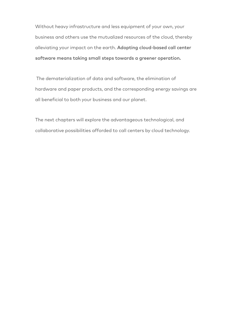Without heavy infrastructure and less equipment of your own, your business and others use the mutualized resources of the cloud, thereby alleviating your impact on the earth. Adopting cloud-based call center software means taking small steps towards a greener operation.

 The dematerialization of data and software, the elimination of hardware and paper products, and the corresponding energy savings are all beneficial to both your business and our planet.

The next chapters will explore the advantageous technological, and collaborative possibilities afforded to call centers by cloud technology.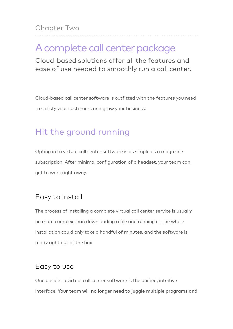Chapter Two

# A complete call center package

Cloud-based solutions offer all the features and ease of use needed to smoothly run a call center.

Cloud-based call center software is outfitted with the features you need to satisfy your customers and grow your business.

### Hit the ground running

Opting in to virtual call center software is as simple as a magazine subscription. After minimal configuration of a headset, your team can get to work right away.

#### Easy to install

The process of installing a complete virtual call center service is usually no more complex than downloading a file and running it. The whole installation could only take a handful of minutes, and the software is ready right out of the box.

#### Easy to use

One upside to virtual call center software is the unified, intuitive interface. Your team will no longer need to juggle multiple programs and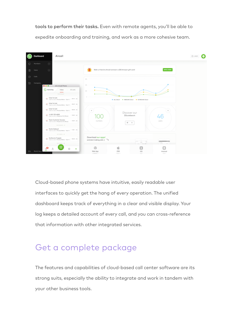tools to perform their tasks. Even with remote agents, you'll be able to expedite onboarding and training, and work as a more cohesive team.



Cloud-based phone systems have intuitive, easily readable user interfaces to quickly get the hang of every operation. The unified dashboard keeps track of everything in a clear and visible display. Your log keeps a detailed account of every call, and you can cross-reference that information with other integrated services.

### Get a complete package

The features and capabilities of cloud-based call center software are its strong suits, especially the ability to integrate and work in tandem with your other business tools.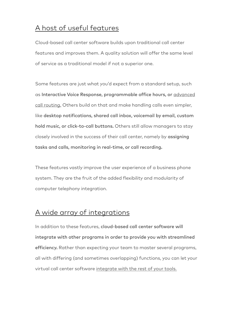#### [A host of useful features](https://aircall.io/en/call-center-software-features/)

Cloud-based call center software builds upon traditional call center features and improves them. A quality solution will offer the same level of service as a traditional model if not a superior one.

Some features are just what you'd expect from a standard setup, such as [Interactive Voice Response, programmable office hours, or](https://blog.aircall.io/call-center-routing/) advanced call routing. Others build on that and make handling calls even simpler, like desktop notifications, shared call inbox, voicemail by email, custom hold music, or click-to-call buttons. Others still allow managers to stay closely involved in the success of their call center, namely by assigning tasks and calls, monitoring in real-time, or call recording.

These features vastly improve the user experience of a business phone system. They are the fruit of the added flexibility and modularity of computer telephony integration.

#### [A wide array of integrations](https://aircall.io/en/call-center-software-integrations/)

In addition to these features, cloud-based call center software will integrate with other programs in order to provide you with streamlined efficiency. Rather than expecting your team to master several programs, all with differing (and sometimes overlapping) functions, you can let your virtual call center software [integrate with the rest of your tools.](https://blog.aircall.io/customer-support-best-20-apps/)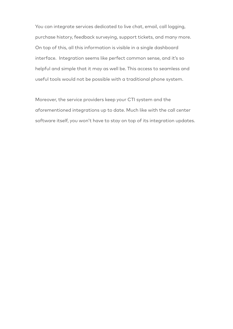You can integrate services dedicated to live chat, email, call logging, purchase history, feedback surveying, support tickets, and many more. On top of this, all this information is visible in a single dashboard interface. Integration seems like perfect common sense, and it's so helpful and simple that it may as well be. This access to seamless and useful tools would not be possible with a traditional phone system.

Moreover, the service providers keep your CTI system and the aforementioned integrations up to date. Much like with the call center software itself, you won't have to stay on top of its integration updates.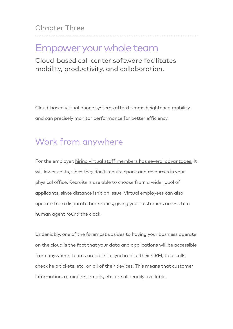Chapter Three

# Empower your whole team

Cloud-based call center software facilitates mobility, productivity, and collaboration.

Cloud-based virtual phone systems afford teams heightened mobility, and can precisely monitor performance for better efficiency.

### Work from anywhere

For the employer, [hiring virtual staff members has several advantages.](https://blog.aircall.io/virtual-assistant-can-improve-customer-service/) It will lower costs, since they don't require space and resources in your physical office. Recruiters are able to choose from a wider pool of applicants, since distance isn't an issue. Virtual employees can also operate from disparate time zones, giving your customers access to a human agent round the clock.

Undeniably, one of the foremost upsides to having your business operate on the cloud is the fact that your data and applications will be accessible from anywhere. Teams are able to synchronize their CRM, take calls, check help tickets, etc. on all of their devices. This means that customer information, reminders, emails, etc. are all readily available.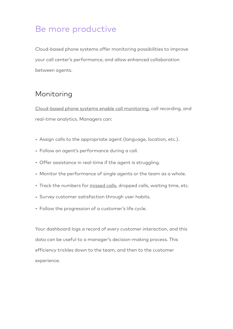### Be more productive

Cloud-based phone systems offer monitoring possibilities to improve your call center's performance, and allow enhanced collaboration between agents.

#### Monitoring

[Cloud-based phone systems enable call monitoring](https://blog.aircall.io/call-center-monitoring/), call recording, and real-time analytics. Managers can:

- Assign calls to the appropriate agent (language, location, etc.).
- Follow an agent's performance during a call.
- Offer assistance in real-time if the agent is struggling.
- Monitor the performance of single agents or the team as a whole.
- Track the numbers for [missed calls](https://blog.aircall.io/missed-calls/), dropped calls, waiting time, etc.
- Survey customer satisfaction through user habits.
- Follow the progression of a customer's life cycle.

Your dashboard logs a record of every customer interaction, and this data can be useful to a manager's decision-making process. This efficiency trickles down to the team, and then to the customer experience.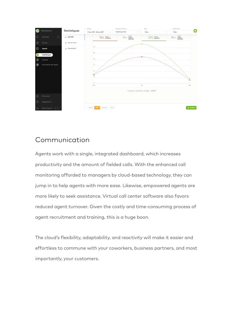

#### Communication

Agents work with a single, integrated dashboard, which increases productivity and the amount of fielded calls. With the enhanced call monitoring afforded to managers by cloud-based technology, they can jump in to help agents with more ease. Likewise, empowered agents are more likely to seek assistance. Virtual call center software also favors reduced agent turnover. Given the costly and time-consuming process of agent recruitment and training, this is a huge boon.

The cloud's flexibility, adaptability, and reactivity will make it easier and effortless to commune with your coworkers, business partners, and most importantly, your customers.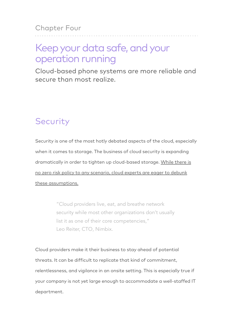# Keep your data safe, and your operation running

Cloud-based phone systems are more reliable and secure than most realize.

# Security

Security is one of the most hotly debated aspects of the cloud, especially when it comes to storage. The business of cloud security is expanding [dramatically in order to tighten up cloud-based storage. While there is](http://www.cio.com/article/2922374/cloud-security/20-of-the-greatest-myths-of-cloud-security.html)  no zero risk policy to any scenario, cloud experts are eager to debunk these assumptions.

> "Cloud providers live, eat, and breathe network security while most other organizations don't usually list it as one of their core competencies," Leo Reiter, CTO, Nimbix.

Cloud providers make it their business to stay ahead of potential threats. It can be difficult to replicate that kind of commitment, relentlessness, and vigilance in an onsite setting. This is especially true if your company is not yet large enough to accommodate a well-staffed IT department.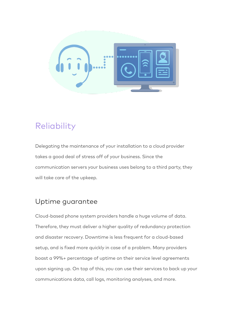

### Reliability

Delegating the maintenance of your installation to a cloud provider takes a good deal of stress off of your business. Since the communication servers your business uses belong to a third party, they will take care of the upkeep.

#### Uptime guarantee

Cloud-based phone system providers handle a huge volume of data. Therefore, they must deliver a higher quality of redundancy protection and disaster recovery. Downtime is less frequent for a cloud-based setup, and is fixed more quickly in case of a problem. Many providers boast a 99%+ percentage of uptime on their service level agreements upon signing up. On top of this, you can use their services to back up your communications data, call logs, monitoring analyses, and more.